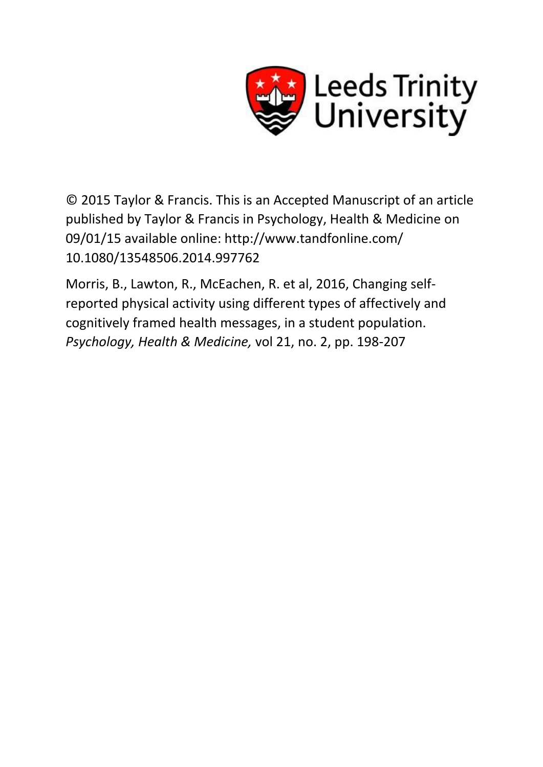

© 2015 Taylor & Francis. This is an Accepted Manuscript of an article published by Taylor & Francis in Psychology, Health & Medicine on 09/01/15 available online: http://www.tandfonline.com/ 10.1080/13548506.2014.997762

Morris, B., Lawton, R., McEachen, R. et al, 2016, Changing selfreported physical activity using different types of affectively and cognitively framed health messages, in a student population. *Psychology, Health & Medicine,* vol 21, no. 2, pp. 198-207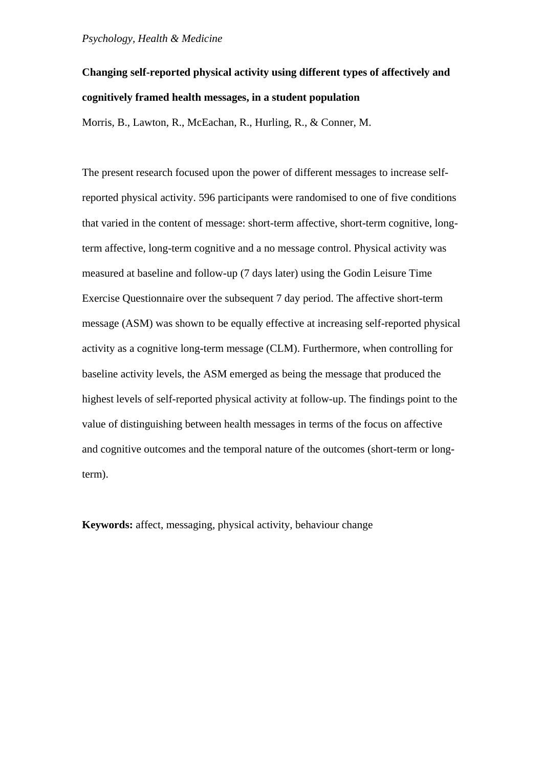# **Changing self-reported physical activity using different types of affectively and cognitively framed health messages, in a student population**

Morris, B., Lawton, R., McEachan, R., Hurling, R., & Conner, M.

The present research focused upon the power of different messages to increase selfreported physical activity. 596 participants were randomised to one of five conditions that varied in the content of message: short-term affective, short-term cognitive, longterm affective, long-term cognitive and a no message control. Physical activity was measured at baseline and follow-up (7 days later) using the Godin Leisure Time Exercise Questionnaire over the subsequent 7 day period. The affective short-term message (ASM) was shown to be equally effective at increasing self-reported physical activity as a cognitive long-term message (CLM). Furthermore, when controlling for baseline activity levels, the ASM emerged as being the message that produced the highest levels of self-reported physical activity at follow-up. The findings point to the value of distinguishing between health messages in terms of the focus on affective and cognitive outcomes and the temporal nature of the outcomes (short-term or longterm).

**Keywords:** affect, messaging, physical activity, behaviour change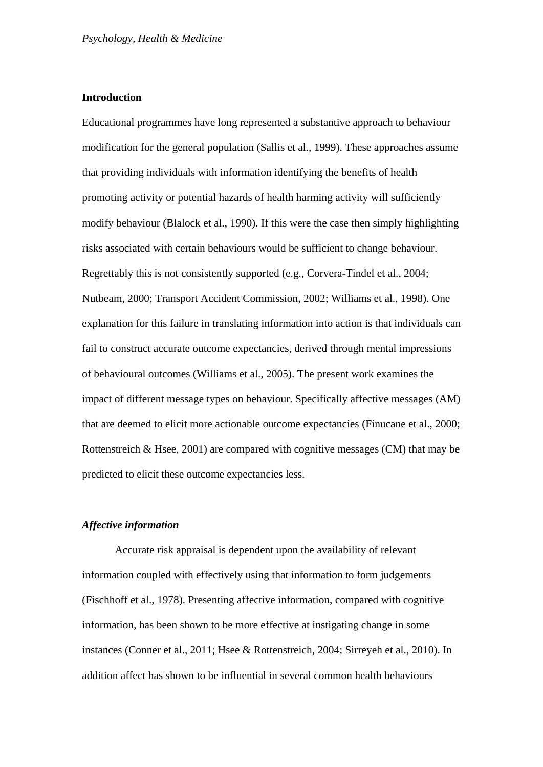# **Introduction**

Educational programmes have long represented a substantive approach to behaviour modification for the general population (Sallis et al., 1999). These approaches assume that providing individuals with information identifying the benefits of health promoting activity or potential hazards of health harming activity will sufficiently modify behaviour (Blalock et al., 1990). If this were the case then simply highlighting risks associated with certain behaviours would be sufficient to change behaviour. Regrettably this is not consistently supported (e.g., Corvera-Tindel et al., 2004; Nutbeam, 2000; Transport Accident Commission, 2002; Williams et al., 1998). One explanation for this failure in translating information into action is that individuals can fail to construct accurate outcome expectancies, derived through mental impressions of behavioural outcomes (Williams et al., 2005). The present work examines the impact of different message types on behaviour. Specifically affective messages (AM) that are deemed to elicit more actionable outcome expectancies (Finucane et al., 2000; Rottenstreich & Hsee, 2001) are compared with cognitive messages (CM) that may be predicted to elicit these outcome expectancies less.

# *Affective information*

Accurate risk appraisal is dependent upon the availability of relevant information coupled with effectively using that information to form judgements (Fischhoff et al., 1978). Presenting affective information, compared with cognitive information, has been shown to be more effective at instigating change in some instances (Conner et al., 2011; Hsee & Rottenstreich, 2004; Sirreyeh et al., 2010). In addition affect has shown to be influential in several common health behaviours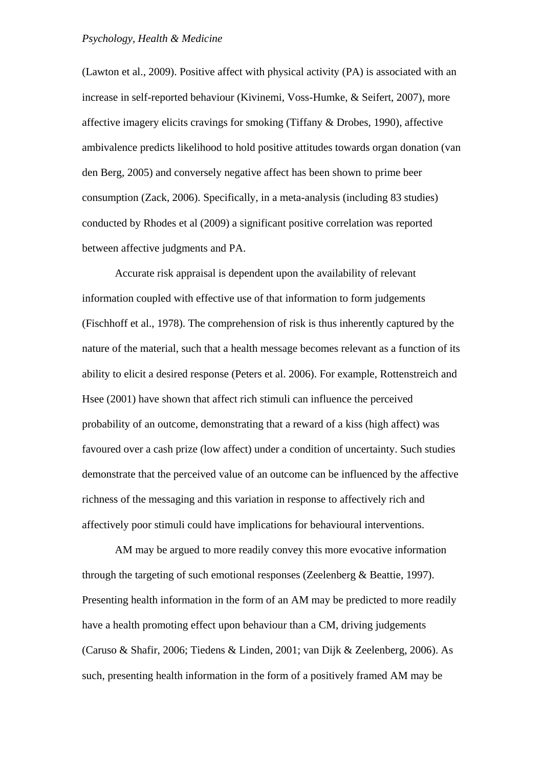(Lawton et al., 2009). Positive affect with physical activity (PA) is associated with an increase in self-reported behaviour (Kivinemi, Voss-Humke, & Seifert, 2007), more affective imagery elicits cravings for smoking (Tiffany & Drobes, 1990), affective ambivalence predicts likelihood to hold positive attitudes towards organ donation (van den Berg, 2005) and conversely negative affect has been shown to prime beer consumption (Zack, 2006). Specifically, in a meta-analysis (including 83 studies) conducted by Rhodes et al (2009) a significant positive correlation was reported between affective judgments and PA.

Accurate risk appraisal is dependent upon the availability of relevant information coupled with effective use of that information to form judgements (Fischhoff et al., 1978). The comprehension of risk is thus inherently captured by the nature of the material, such that a health message becomes relevant as a function of its ability to elicit a desired response (Peters et al. 2006). For example, Rottenstreich and Hsee (2001) have shown that affect rich stimuli can influence the perceived probability of an outcome, demonstrating that a reward of a kiss (high affect) was favoured over a cash prize (low affect) under a condition of uncertainty. Such studies demonstrate that the perceived value of an outcome can be influenced by the affective richness of the messaging and this variation in response to affectively rich and affectively poor stimuli could have implications for behavioural interventions.

AM may be argued to more readily convey this more evocative information through the targeting of such emotional responses (Zeelenberg & Beattie, 1997). Presenting health information in the form of an AM may be predicted to more readily have a health promoting effect upon behaviour than a CM, driving judgements (Caruso & Shafir, 2006; Tiedens & Linden, 2001; van Dijk & Zeelenberg, 2006). As such, presenting health information in the form of a positively framed AM may be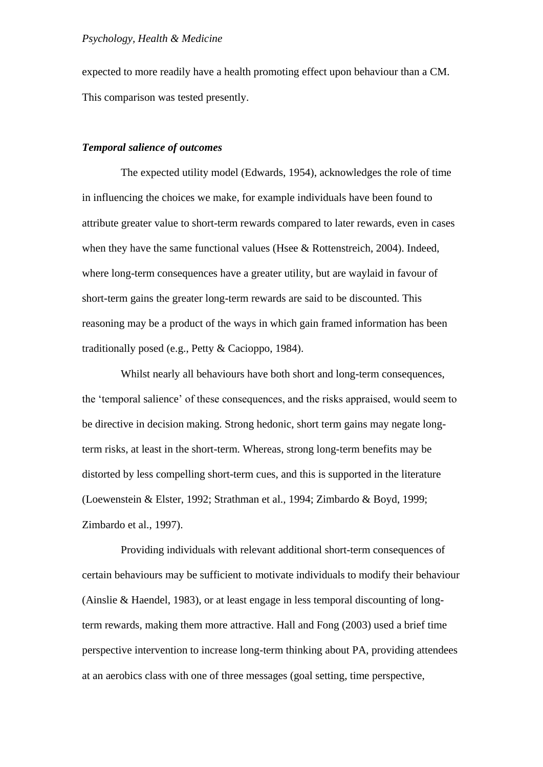expected to more readily have a health promoting effect upon behaviour than a CM. This comparison was tested presently.

## *Temporal salience of outcomes*

The expected utility model (Edwards, 1954), acknowledges the role of time in influencing the choices we make, for example individuals have been found to attribute greater value to short-term rewards compared to later rewards, even in cases when they have the same functional values (Hsee & Rottenstreich, 2004). Indeed, where long-term consequences have a greater utility, but are waylaid in favour of short-term gains the greater long-term rewards are said to be discounted. This reasoning may be a product of the ways in which gain framed information has been traditionally posed (e.g., Petty & Cacioppo, 1984).

Whilst nearly all behaviours have both short and long-term consequences, the 'temporal salience' of these consequences, and the risks appraised, would seem to be directive in decision making. Strong hedonic, short term gains may negate longterm risks, at least in the short-term. Whereas, strong long-term benefits may be distorted by less compelling short-term cues, and this is supported in the literature (Loewenstein & Elster, 1992; Strathman et al., 1994; Zimbardo & Boyd, 1999; Zimbardo et al., 1997).

Providing individuals with relevant additional short-term consequences of certain behaviours may be sufficient to motivate individuals to modify their behaviour (Ainslie & Haendel, 1983), or at least engage in less temporal discounting of longterm rewards, making them more attractive. Hall and Fong (2003) used a brief time perspective intervention to increase long-term thinking about PA, providing attendees at an aerobics class with one of three messages (goal setting, time perspective,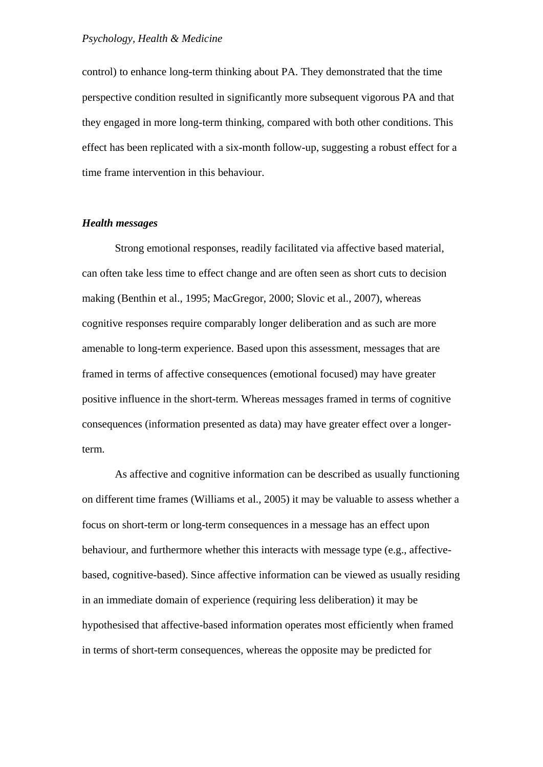control) to enhance long-term thinking about PA. They demonstrated that the time perspective condition resulted in significantly more subsequent vigorous PA and that they engaged in more long-term thinking, compared with both other conditions. This effect has been replicated with a six-month follow-up, suggesting a robust effect for a time frame intervention in this behaviour.

## *Health messages*

Strong emotional responses, readily facilitated via affective based material, can often take less time to effect change and are often seen as short cuts to decision making (Benthin et al., 1995; MacGregor, 2000; Slovic et al., 2007), whereas cognitive responses require comparably longer deliberation and as such are more amenable to long-term experience. Based upon this assessment, messages that are framed in terms of affective consequences (emotional focused) may have greater positive influence in the short-term. Whereas messages framed in terms of cognitive consequences (information presented as data) may have greater effect over a longerterm.

As affective and cognitive information can be described as usually functioning on different time frames (Williams et al., 2005) it may be valuable to assess whether a focus on short-term or long-term consequences in a message has an effect upon behaviour, and furthermore whether this interacts with message type (e.g., affectivebased, cognitive-based). Since affective information can be viewed as usually residing in an immediate domain of experience (requiring less deliberation) it may be hypothesised that affective-based information operates most efficiently when framed in terms of short-term consequences, whereas the opposite may be predicted for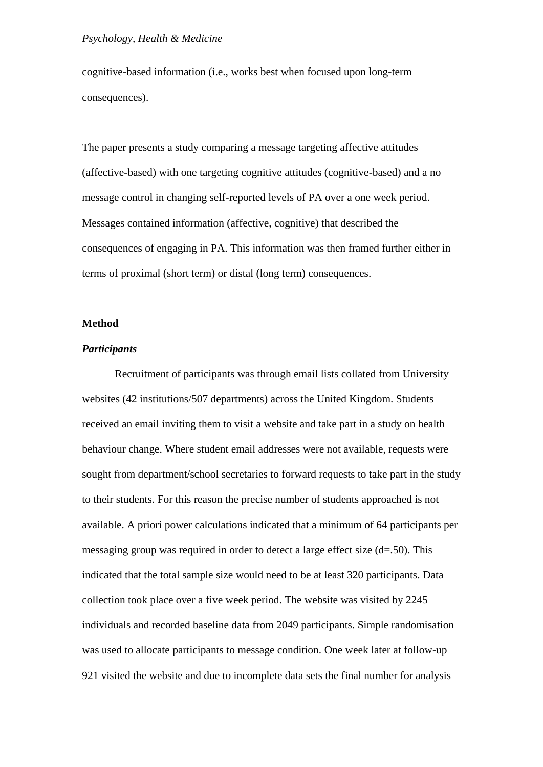cognitive-based information (i.e., works best when focused upon long-term consequences).

The paper presents a study comparing a message targeting affective attitudes (affective-based) with one targeting cognitive attitudes (cognitive-based) and a no message control in changing self-reported levels of PA over a one week period. Messages contained information (affective, cognitive) that described the consequences of engaging in PA. This information was then framed further either in terms of proximal (short term) or distal (long term) consequences.

# **Method**

#### *Participants*

Recruitment of participants was through email lists collated from University websites (42 institutions/507 departments) across the United Kingdom. Students received an email inviting them to visit a website and take part in a study on health behaviour change. Where student email addresses were not available, requests were sought from department/school secretaries to forward requests to take part in the study to their students. For this reason the precise number of students approached is not available. A priori power calculations indicated that a minimum of 64 participants per messaging group was required in order to detect a large effect size (d=.50). This indicated that the total sample size would need to be at least 320 participants. Data collection took place over a five week period. The website was visited by 2245 individuals and recorded baseline data from 2049 participants. Simple randomisation was used to allocate participants to message condition. One week later at follow-up 921 visited the website and due to incomplete data sets the final number for analysis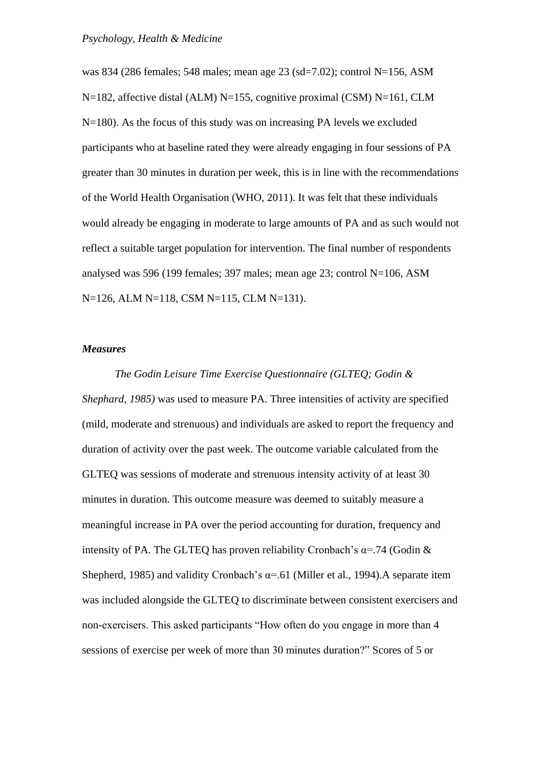was 834 (286 females; 548 males; mean age 23 (sd=7.02); control N=156, ASM N=182, affective distal (ALM) N=155, cognitive proximal (CSM) N=161, CLM N=180). As the focus of this study was on increasing PA levels we excluded participants who at baseline rated they were already engaging in four sessions of PA greater than 30 minutes in duration per week, this is in line with the recommendations of the World Health Organisation (WHO, 2011). It was felt that these individuals would already be engaging in moderate to large amounts of PA and as such would not reflect a suitable target population for intervention. The final number of respondents analysed was 596 (199 females; 397 males; mean age 23; control N=106, ASM N=126, ALM N=118, CSM N=115, CLM N=131).

## *Measures*

*The Godin Leisure Time Exercise Questionnaire (GLTEQ; Godin & Shephard, 1985)* was used to measure PA. Three intensities of activity are specified (mild, moderate and strenuous) and individuals are asked to report the frequency and duration of activity over the past week. The outcome variable calculated from the GLTEQ was sessions of moderate and strenuous intensity activity of at least 30 minutes in duration. This outcome measure was deemed to suitably measure a meaningful increase in PA over the period accounting for duration, frequency and intensity of PA. The GLTEQ has proven reliability Cronbach's  $\alpha$ =.74 (Godin & Shepherd, 1985) and validity Cronbach's  $\alpha$ =.61 (Miller et al., 1994). A separate item was included alongside the GLTEQ to discriminate between consistent exercisers and non-exercisers. This asked participants "How often do you engage in more than 4 sessions of exercise per week of more than 30 minutes duration?" Scores of 5 or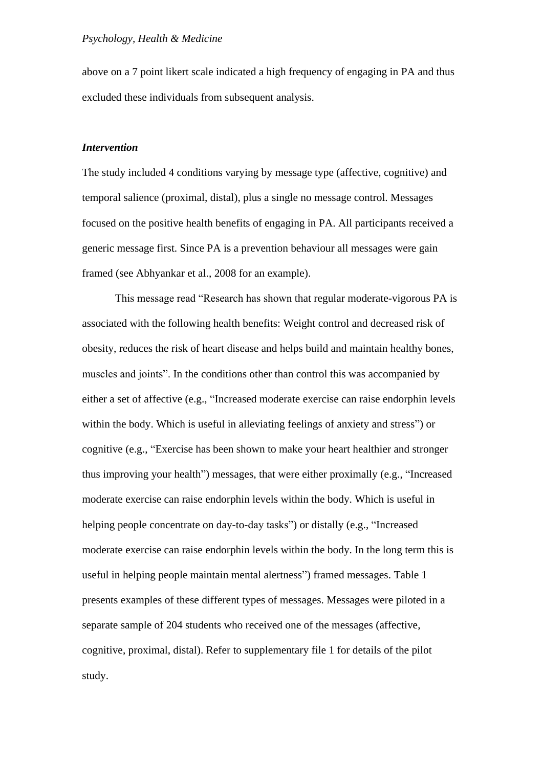above on a 7 point likert scale indicated a high frequency of engaging in PA and thus excluded these individuals from subsequent analysis.

#### *Intervention*

The study included 4 conditions varying by message type (affective, cognitive) and temporal salience (proximal, distal), plus a single no message control. Messages focused on the positive health benefits of engaging in PA. All participants received a generic message first. Since PA is a prevention behaviour all messages were gain framed (see [Abhyankar](http://www.ncbi.nlm.nih.gov/pubmed?term=%22Abhyankar%20P%22%5BAuthor%5D) et al., 2008 for an example).

This message read "Research has shown that regular moderate-vigorous PA is associated with the following health benefits: Weight control and decreased risk of obesity, reduces the risk of heart disease and helps build and maintain healthy bones, muscles and joints". In the conditions other than control this was accompanied by either a set of affective (e.g., "Increased moderate exercise can raise endorphin levels within the body. Which is useful in alleviating feelings of anxiety and stress") or cognitive (e.g., "Exercise has been shown to make your heart healthier and stronger thus improving your health") messages, that were either proximally (e.g., "Increased moderate exercise can raise endorphin levels within the body. Which is useful in helping people concentrate on day-to-day tasks") or distally (e.g., "Increased moderate exercise can raise endorphin levels within the body. In the long term this is useful in helping people maintain mental alertness") framed messages. Table 1 presents examples of these different types of messages. Messages were piloted in a separate sample of 204 students who received one of the messages (affective, cognitive, proximal, distal). Refer to supplementary file 1 for details of the pilot study.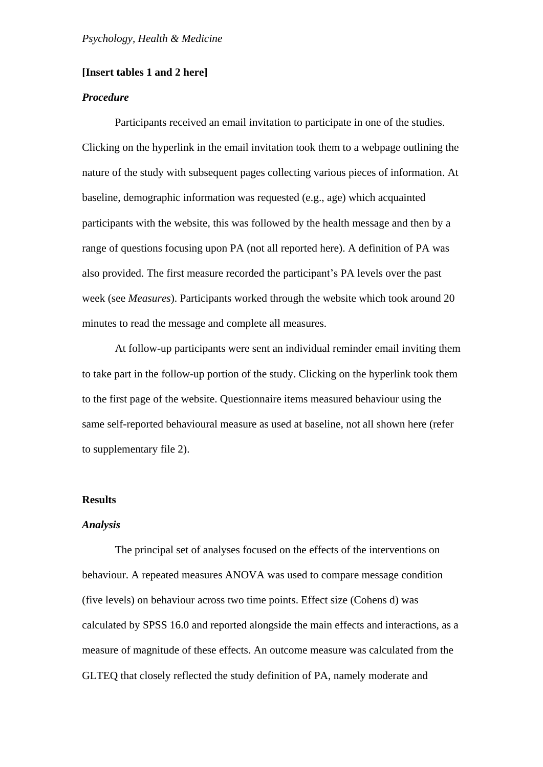## **[Insert tables 1 and 2 here]**

# *Procedure*

Participants received an email invitation to participate in one of the studies. Clicking on the hyperlink in the email invitation took them to a webpage outlining the nature of the study with subsequent pages collecting various pieces of information. At baseline, demographic information was requested (e.g., age) which acquainted participants with the website, this was followed by the health message and then by a range of questions focusing upon PA (not all reported here). A definition of PA was also provided. The first measure recorded the participant's PA levels over the past week (see *Measures*). Participants worked through the website which took around 20 minutes to read the message and complete all measures.

At follow-up participants were sent an individual reminder email inviting them to take part in the follow-up portion of the study. Clicking on the hyperlink took them to the first page of the website. Questionnaire items measured behaviour using the same self-reported behavioural measure as used at baseline, not all shown here (refer to supplementary file 2).

#### **Results**

#### *Analysis*

The principal set of analyses focused on the effects of the interventions on behaviour. A repeated measures ANOVA was used to compare message condition (five levels) on behaviour across two time points. Effect size (Cohens d) was calculated by SPSS 16.0 and reported alongside the main effects and interactions, as a measure of magnitude of these effects. An outcome measure was calculated from the GLTEQ that closely reflected the study definition of PA, namely moderate and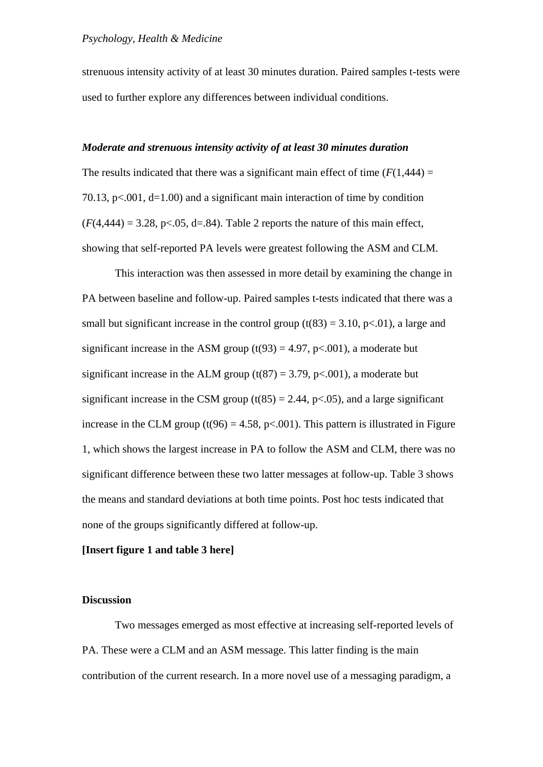strenuous intensity activity of at least 30 minutes duration. Paired samples t-tests were used to further explore any differences between individual conditions.

## *Moderate and strenuous intensity activity of at least 30 minutes duration*

The results indicated that there was a significant main effect of time  $(F(1,444) =$ 70.13,  $p<.001$ ,  $d=1.00$ ) and a significant main interaction of time by condition  $(F(4,444) = 3.28, p<0.05, d=.84)$ . Table 2 reports the nature of this main effect, showing that self-reported PA levels were greatest following the ASM and CLM.

This interaction was then assessed in more detail by examining the change in PA between baseline and follow-up. Paired samples t-tests indicated that there was a small but significant increase in the control group  $(t(83) = 3.10, p<0.01)$ , a large and significant increase in the ASM group  $(t(93) = 4.97, p < .001)$ , a moderate but significant increase in the ALM group  $(t(87) = 3.79, p < 0.001)$ , a moderate but significant increase in the CSM group  $(t(85) = 2.44, p<0.05)$ , and a large significant increase in the CLM group (t(96) = 4.58, p < 0.001). This pattern is illustrated in Figure 1, which shows the largest increase in PA to follow the ASM and CLM, there was no significant difference between these two latter messages at follow-up. Table 3 shows the means and standard deviations at both time points. Post hoc tests indicated that none of the groups significantly differed at follow-up.

## **[Insert figure 1 and table 3 here]**

## **Discussion**

Two messages emerged as most effective at increasing self-reported levels of PA. These were a CLM and an ASM message. This latter finding is the main contribution of the current research. In a more novel use of a messaging paradigm, a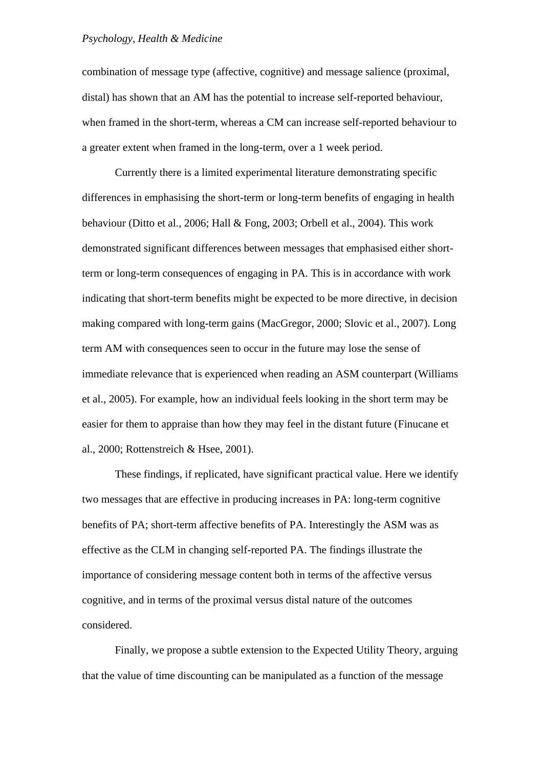combination of message type (affective, cognitive) and message salience (proximal, distal) has shown that an AM has the potential to increase self-reported behaviour, when framed in the short-term, whereas a CM can increase self-reported behaviour to a greater extent when framed in the long-term, over a 1 week period.

Currently there is a limited experimental literature demonstrating specific differences in emphasising the short-term or long-term benefits of engaging in health behaviour (Ditto et al., 2006; Hall & Fong, 2003; Orbell et al., 2004). This work demonstrated significant differences between messages that emphasised either shortterm or long-term consequences of engaging in PA. This is in accordance with work indicating that short-term benefits might be expected to be more directive, in decision making compared with long-term gains (MacGregor, 2000; Slovic et al., 2007). Long term AM with consequences seen to occur in the future may lose the sense of immediate relevance that is experienced when reading an ASM counterpart (Williams et al., 2005). For example, how an individual feels looking in the short term may be easier for them to appraise than how they may feel in the distant future (Finucane et al., 2000; Rottenstreich & Hsee, 2001).

These findings, if replicated, have significant practical value. Here we identify two messages that are effective in producing increases in PA: long-term cognitive benefits of PA; short-term affective benefits of PA. Interestingly the ASM was as effective as the CLM in changing self-reported PA. The findings illustrate the importance of considering message content both in terms of the affective versus cognitive, and in terms of the proximal versus distal nature of the outcomes considered.

Finally, we propose a subtle extension to the Expected Utility Theory, arguing that the value of time discounting can be manipulated as a function of the message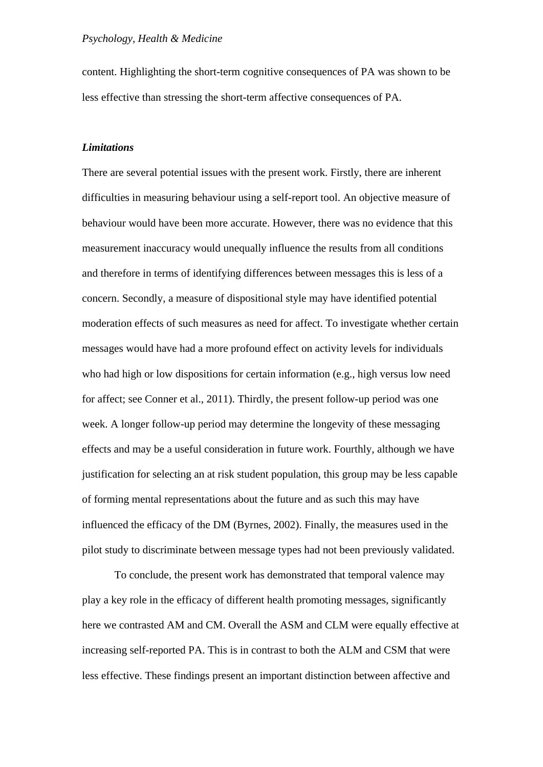content. Highlighting the short-term cognitive consequences of PA was shown to be less effective than stressing the short-term affective consequences of PA.

# *Limitations*

There are several potential issues with the present work. Firstly, there are inherent difficulties in measuring behaviour using a self-report tool. An objective measure of behaviour would have been more accurate. However, there was no evidence that this measurement inaccuracy would unequally influence the results from all conditions and therefore in terms of identifying differences between messages this is less of a concern. Secondly, a measure of dispositional style may have identified potential moderation effects of such measures as need for affect. To investigate whether certain messages would have had a more profound effect on activity levels for individuals who had high or low dispositions for certain information (e.g., high versus low need for affect; see Conner et al., 2011). Thirdly, the present follow-up period was one week. A longer follow-up period may determine the longevity of these messaging effects and may be a useful consideration in future work. Fourthly, although we have justification for selecting an at risk student population, this group may be less capable of forming mental representations about the future and as such this may have influenced the efficacy of the DM (Byrnes, 2002). Finally, the measures used in the pilot study to discriminate between message types had not been previously validated.

To conclude, the present work has demonstrated that temporal valence may play a key role in the efficacy of different health promoting messages, significantly here we contrasted AM and CM. Overall the ASM and CLM were equally effective at increasing self-reported PA. This is in contrast to both the ALM and CSM that were less effective. These findings present an important distinction between affective and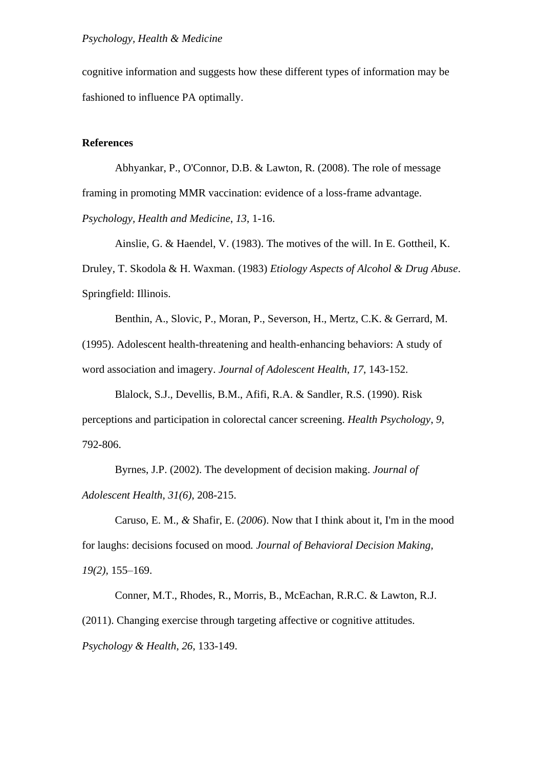cognitive information and suggests how these different types of information may be fashioned to influence PA optimally.

#### **References**

[Abhyankar, P.](http://www.ncbi.nlm.nih.gov/pubmed?term=%22Abhyankar%20P%22%5BAuthor%5D), [O'Connor, D.B.](http://www.ncbi.nlm.nih.gov/pubmed?term=%22O) & [Lawton, R.](http://www.ncbi.nlm.nih.gov/pubmed?term=%22Lawton%20R%22%5BAuthor%5D) (2008). The role of message framing in promoting MMR vaccination: evidence of a loss-frame advantage. *Psychology, Health and Medicine*, *13*, 1-16.

Ainslie, G. & Haendel, V. (1983). The motives of the will. In E. Gottheil, K. Druley, T. Skodola & H. Waxman. (1983) *Etiology Aspects of Alcohol & Drug Abuse*. Springfield: Illinois.

Benthin, A., Slovic, P., Moran, P., Severson, H., Mertz, C.K. & Gerrard, M. (1995). Adolescent health-threatening and health-enhancing behaviors: A study of word association and imagery. *Journal of Adolescent Health*, *17*, 143-152.

Blalock, S.J., Devellis, B.M., Afifi, R.A. & Sandler, R.S. (1990). Risk perceptions and participation in colorectal cancer screening. *Health Psychology*, *9*, 792-806.

Byrnes, J.P. (2002). The development of decision making. *Journal of Adolescent Health*, *31(6)*, 208-215.

Caruso, E. M.*, &* Shafir, E. (*2006*). Now that I think about it, I'm in the mood for laughs: decisions focused on mood*. Journal of Behavioral Decision Making, 19(2),* 155*–*169.

[Conner, M.T.,](http://www.psyc.leeds.ac.uk/10/people/mc/index.htm) Rhodes, R., Morris, B., [McEachan, R.R.C.](http://www.psyc.leeds.ac.uk/10/people/rosiem/index.htm) & [Lawton, R.J.](http://www.psyc.leeds.ac.uk/10/people/rebeccal/index.htm) (2011). Changing exercise through targeting affective or cognitive attitudes. *Psychology & Health*, *26*, 133-149.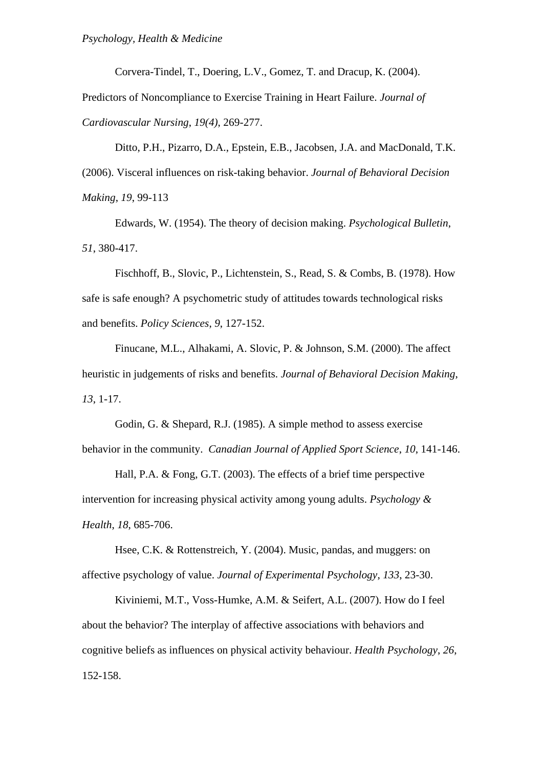Corvera-Tindel, T., Doering, L.V., Gomez, T. and Dracup, K. (2004).

Predictors of Noncompliance to Exercise Training in Heart Failure. *Journal of Cardiovascular Nursing*, *19(4)*, 269-277.

Ditto, P.H., Pizarro, D.A., Epstein, E.B., Jacobsen, J.A. and MacDonald, T.K. (2006). Visceral influences on risk-taking behavior. *Journal of Behavioral Decision Making*, *19*, 99-113

Edwards, W. (1954). The theory of decision making. *Psychological Bulletin*, *51*, 380-417.

Fischhoff, B., Slovic, P., Lichtenstein, S., Read, S. & Combs, B. (1978). How safe is safe enough? A psychometric study of attitudes towards technological risks and benefits. *Policy Sciences*, *9*, 127-152.

Finucane, M.L., Alhakami, A. Slovic, P. & Johnson, S.M. (2000). The affect heuristic in judgements of risks and benefits. *Journal of Behavioral Decision Making*, *13*, 1-17.

Godin, G. & Shepard, R.J. (1985). A simple method to assess exercise behavior in the community. *Canadian Journal of Applied Sport Science*, *10*, 141-146.

Hall, P.A. & Fong, G.T. (2003). The effects of a brief time perspective intervention for increasing physical activity among young adults. *Psychology & Health*, *18*, 685-706.

Hsee, C.K. & Rottenstreich, Y. (2004). Music, pandas, and muggers: on affective psychology of value. *Journal of Experimental Psychology*, *133*, 23-30.

Kiviniemi, M.T., Voss-Humke, A.M. & Seifert, A.L. (2007). How do I feel about the behavior? The interplay of affective associations with behaviors and cognitive beliefs as influences on physical activity behaviour. *Health Psychology*, *26*, 152-158.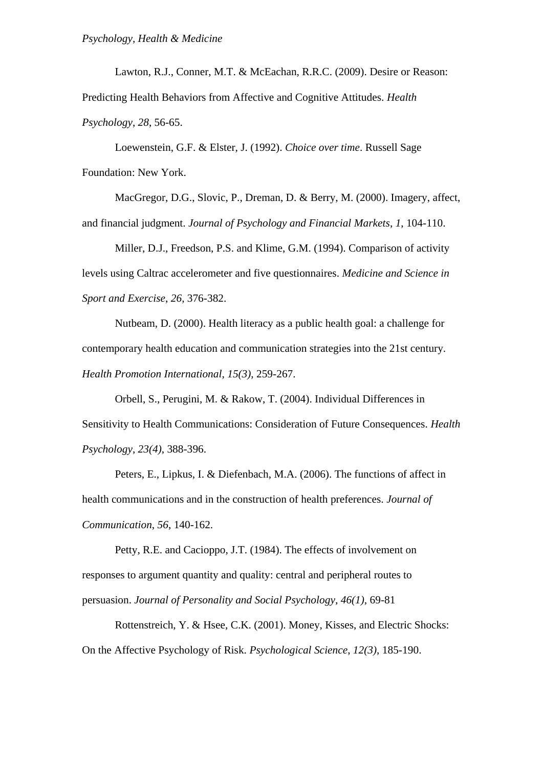[Lawton,](http://www.psyc.leeds.ac.uk/10/people/rebeccal/index.htm) R.J., [Conner,](http://www.psyc.leeds.ac.uk/10/people/mc/index.htm) M.T. & [McEachan,](http://www.psyc.leeds.ac.uk/10/people/rosiem/index.htm) R.R.C. (2009). Desire or Reason: Predicting Health Behaviors from Affective and Cognitive Attitudes. *Health Psychology*, *28*, 56-65.

Loewenstein, G.F. & Elster, J. (1992). *Choice over time*. Russell Sage Foundation: New York.

MacGregor, D.G., Slovic, P., Dreman, D. & Berry, M. (2000). Imagery, affect, and financial judgment. *Journal of Psychology and Financial Markets*, *1*, 104-110.

Miller, D.J., Freedson, P.S. and Klime, G.M. (1994). Comparison of activity levels using Caltrac accelerometer and five questionnaires. *Medicine and Science in Sport and Exercise*, *26*, 376-382.

Nutbeam, D. (2000). Health literacy as a public health goal: a challenge for contemporary health education and communication strategies into the 21st century. *Health Promotion International*, *15(3)*, 259-267.

Orbell, S., Perugini, M. & Rakow, T. (2004). Individual Differences in Sensitivity to Health Communications: Consideration of Future Consequences. *Health Psychology*, *23(4)*, 388-396.

Peters, E., Lipkus, I. & Diefenbach, M.A. (2006). The functions of affect in health communications and in the construction of health preferences. *Journal of Communication*, *56*, 140-162.

Petty, R.E. and Cacioppo, J.T. (1984). The effects of involvement on responses to argument quantity and quality: central and peripheral routes to persuasion. *Journal of Personality and Social Psychology*, *46(1)*, 69-81

Rottenstreich, Y. & Hsee, C.K. (2001). Money, Kisses, and Electric Shocks: On the Affective Psychology of Risk. *Psychological Science*, *12(3)*, 185-190.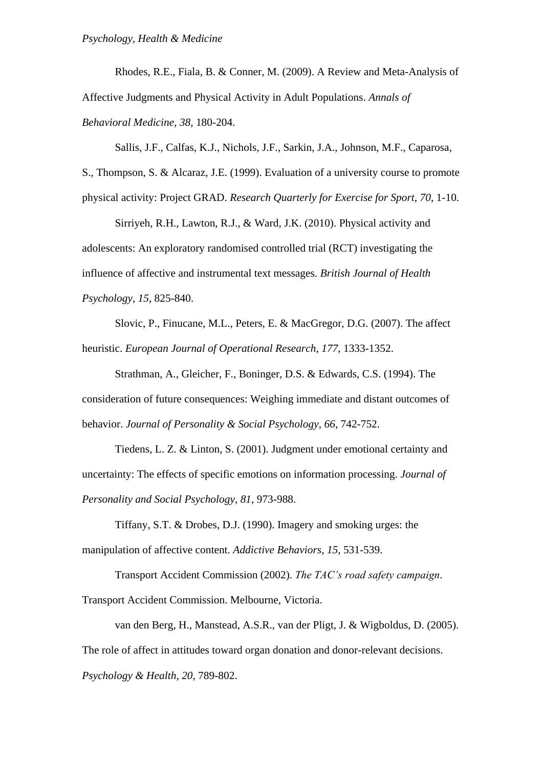Rhodes, R.E., Fiala, B. & Conner, M. (2009). [A Review and Meta-Analysis of](http://www.springerlink.com/content/h585450527201759/)  [Affective Judgments and Physical Activity in Adult Populations.](http://www.springerlink.com/content/h585450527201759/) *[Annals of](http://www.springerlink.com/content/0883-6612/)  [Behavioral Medicine](http://www.springerlink.com/content/0883-6612/)*, *38*, 180-204.

Sallis, J.F., Calfas, K.J., Nichols, J.F., Sarkin, J.A., Johnson, M.F., Caparosa,

S., Thompson, S. & Alcaraz, J.E. (1999). Evaluation of a university course to promote physical activity: Project GRAD. *Research Quarterly for Exercise for Sport*, *70*, 1-10.

[Sirriyeh,](http://www.psyc.leeds.ac.uk/10/people/reemas/index.htm) R.H., [Lawton,](http://www.psyc.leeds.ac.uk/10/people/rebeccal/index.htm) R.J., & [Ward,](http://www.psyc.leeds.ac.uk/10/people/janew/index.htm) J.K. (2010). Physical activity and adolescents: An exploratory randomised controlled trial (RCT) investigating the influence of affective and instrumental text messages. *British Journal of Health Psychology*, *15*, 825-840.

Slovic, P., Finucane, M.L., Peters, E. & MacGregor, D.G. (2007). The affect heuristic. *European Journal of Operational Research*, *177*, 1333-1352.

Strathman, A., Gleicher, F., Boninger, D.S. & Edwards, C.S. (1994). The consideration of future consequences: Weighing immediate and distant outcomes of behavior. *Journal of Personality & Social Psychology*, *66*, 742-752.

Tiedens, L. Z. & Linton, S. (2001). Judgment under emotional certainty and uncertainty: The effects of specific emotions on information processing. *Journal of Personality and Social Psychology*, *81*, 973-988.

Tiffany, S.T. & Drobes, D.J. (1990). Imagery and smoking urges: the manipulation of affective content. *Addictive Behaviors*, *15*, 531-539.

Transport Accident Commission (2002). *The TAC's road safety campaign*.

Transport Accident Commission. Melbourne, Victoria.

van den Berg, H., Manstead, A.S.R., van der Pligt, J. & Wigboldus, D. (2005). The role of affect in attitudes toward organ donation and donor-relevant decisions. *Psychology & Health*, *20*, 789-802.